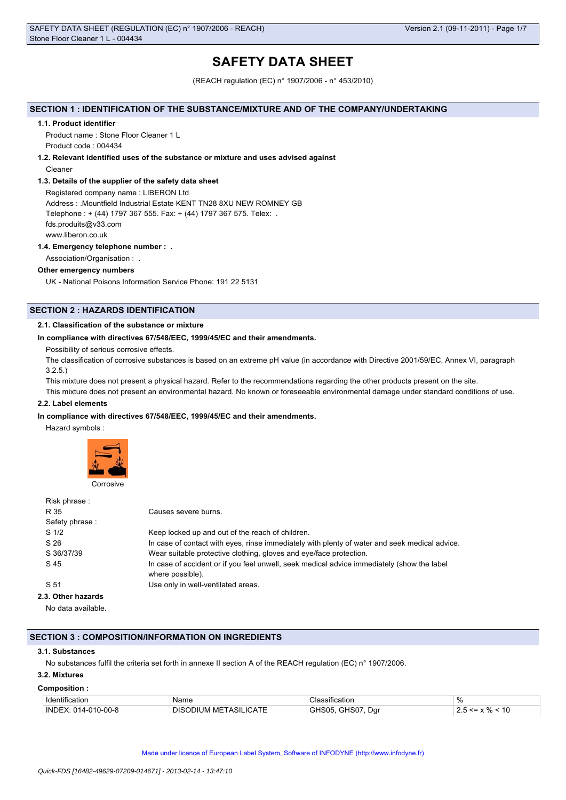# **SAFETY DATA SHEET**

(REACH regulation (EC) n° 1907/2006 - n° 453/2010)

# **SECTION 1 : IDENTIFICATION OF THE SUBSTANCE/MIXTURE AND OF THE COMPANY/UNDERTAKING**

#### **1.1. Product identifier**

Product name : Stone Floor Cleaner 1 L Product code : 004434

# **1.2. Relevant identified uses of the substance or mixture and uses advised against**

Cleaner

## **1.3. Details of the supplier of the safety data sheet**

Registered company name : LIBERON Ltd Address : .Mountfield Industrial Estate KENT TN28 8XU NEW ROMNEY GB Telephone : + (44) 1797 367 555. Fax: + (44) 1797 367 575. Telex: . fds.produits@v33.com www.liberon.co.uk

## **1.4. Emergency telephone number : .**

Association/Organisation : .

## **Other emergency numbers**

UK - National Poisons Information Service Phone: 191 22 5131

# **SECTION 2 : HAZARDS IDENTIFICATION**

## **2.1. Classification of the substance or mixture**

#### **In compliance with directives 67/548/EEC, 1999/45/EC and their amendments.**

Possibility of serious corrosive effects.

The classification of corrosive substances is based on an extreme pH value (in accordance with Directive 2001/59/EC, Annex VI, paragraph 3.2.5.)

This mixture does not present a physical hazard. Refer to the recommendations regarding the other products present on the site.

This mixture does not present an environmental hazard. No known or foreseeable environmental damage under standard conditions of use.

# **2.2. Label elements**

#### **In compliance with directives 67/548/EEC, 1999/45/EC and their amendments.**

Hazard symbols :



| Risk phrase:       |                                                                                                                |
|--------------------|----------------------------------------------------------------------------------------------------------------|
| R 35               | Causes severe burns.                                                                                           |
| Safety phrase:     |                                                                                                                |
| S <sub>1/2</sub>   | Keep locked up and out of the reach of children.                                                               |
| S 26               | In case of contact with eyes, rinse immediately with plenty of water and seek medical advice.                  |
| S 36/37/39         | Wear suitable protective clothing, gloves and eye/face protection.                                             |
| S 45               | In case of accident or if you feel unwell, seek medical advice immediately (show the label<br>where possible). |
| S 51               | Use only in well-ventilated areas.                                                                             |
| 2.3. Other hazards |                                                                                                                |
| No data available. |                                                                                                                |

# **SECTION 3 : COMPOSITION/INFORMATION ON INGREDIENTS**

#### **3.1. Substances**

No substances fulfil the criteria set forth in annexe II section A of the REACH regulation (EC) n° 1907/2006.

# **3.2. Mixtures**

#### **Composition :**

| . Identification    | Name                                      | sification<br>$\overline{\phantom{a}}$ | $\Omega$                           |
|---------------------|-------------------------------------------|----------------------------------------|------------------------------------|
| INDEX: 014-010-00-8 | <b>ICATE</b><br>TASII<br>DISI<br>ЭÐШМ МЕ⊣ | GHS07<br>Dar<br>4905                   | $\overline{a}$<br>$\sqrt{2}$<br>טו |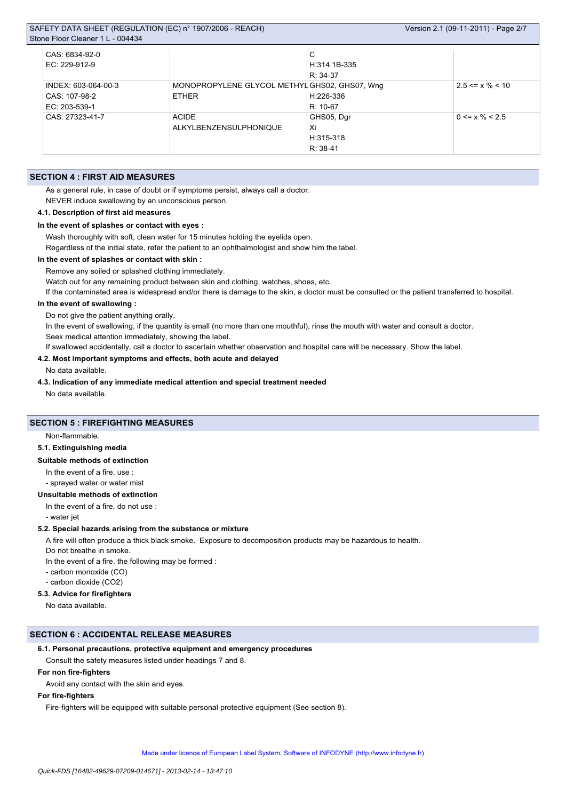| SAFETY DATA SHEET (REGULATION (EC) n° 1907/2006 - REACH) | Version 2.1 (09-11-2011) - Page 2/7           |                |                       |
|----------------------------------------------------------|-----------------------------------------------|----------------|-----------------------|
| Stone Floor Cleaner 1 L - 004434                         |                                               |                |                       |
| CAS: 6834-92-0                                           |                                               | С              |                       |
| EC: 229-912-9                                            |                                               | $H:314.1B-335$ |                       |
|                                                          |                                               | $R: 34-37$     |                       |
| INDEX: 603-064-00-3                                      | MONOPROPYLENE GLYCOL METHYL GHS02, GHS07, Wng |                | $2.5 \le x \% \le 10$ |
| CAS: 107-98-2                                            | <b>ETHER</b>                                  | H:226-336      |                       |
| EC: 203-539-1                                            |                                               | $R: 10-67$     |                       |
| CAS: 27323-41-7                                          | <b>ACIDE</b>                                  | GHS05, Dgr     | $0 \le x \% \le 2.5$  |
|                                                          | ALKYLBENZENSULPHONIQUE                        | Xi             |                       |
|                                                          |                                               | $H:315-318$    |                       |
|                                                          |                                               | $R: 38-41$     |                       |

# **SECTION 4 : FIRST AID MEASURES**

As a general rule, in case of doubt or if symptoms persist, always call a doctor.

NEVER induce swallowing by an unconscious person.

#### **4.1. Description of first aid measures**

# **In the event of splashes or contact with eyes :**

Wash thoroughly with soft, clean water for 15 minutes holding the eyelids open.

Regardless of the initial state, refer the patient to an ophthalmologist and show him the label.

#### **In the event of splashes or contact with skin :**

Remove any soiled or splashed clothing immediately.

Watch out for any remaining product between skin and clothing, watches, shoes, etc.

If the contaminated area is widespread and/or there is damage to the skin, a doctor must be consulted or the patient transferred to hospital.

#### **In the event of swallowing :**

Do not give the patient anything orally.

In the event of swallowing, if the quantity is small (no more than one mouthful), rinse the mouth with water and consult a doctor. Seek medical attention immediately, showing the label.

If swallowed accidentally, call a doctor to ascertain whether observation and hospital care will be necessary. Show the label.

#### **4.2. Most important symptoms and effects, both acute and delayed**

No data available.

**4.3. Indication of any immediate medical attention and special treatment needed**

No data available.

# **SECTION 5 : FIREFIGHTING MEASURES**

Non-flammable.

#### **5.1. Extinguishing media**

#### **Suitable methods of extinction**

In the event of a fire, use :

- sprayed water or water mist

## **Unsuitable methods of extinction**

In the event of a fire, do not use :

- water jet

#### **5.2. Special hazards arising from the substance or mixture**

A fire will often produce a thick black smoke. Exposure to decomposition products may be hazardous to health.

Do not breathe in smoke.

In the event of a fire, the following may be formed :

- carbon monoxide (CO)

- carbon dioxide (CO2)

## **5.3. Advice for firefighters**

No data available.

# **SECTION 6 : ACCIDENTAL RELEASE MEASURES**

#### **6.1. Personal precautions, protective equipment and emergency procedures**

Consult the safety measures listed under headings 7 and 8.

# **For non fire-fighters**

Avoid any contact with the skin and eyes.

# **For fire-fighters**

Fire-fighters will be equipped with suitable personal protective equipment (See section 8).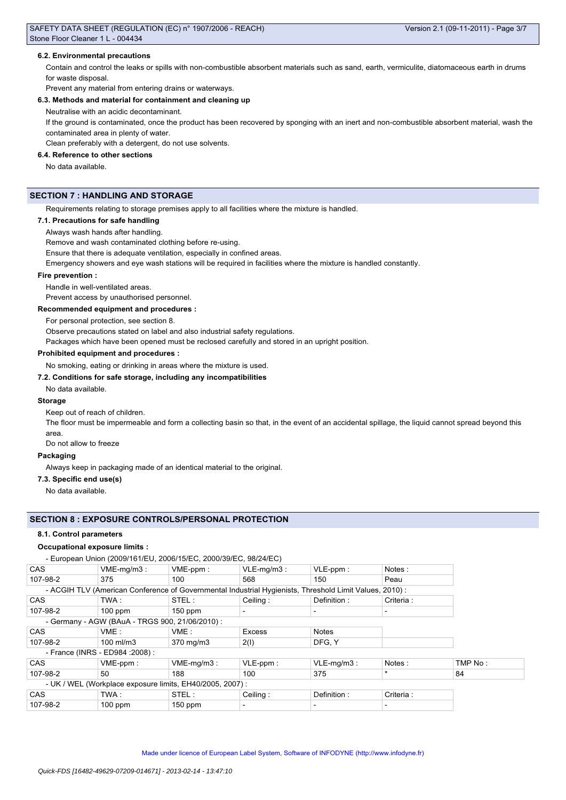## **6.2. Environmental precautions**

Contain and control the leaks or spills with non-combustible absorbent materials such as sand, earth, vermiculite, diatomaceous earth in drums for waste disposal.

Prevent any material from entering drains or waterways.

## **6.3. Methods and material for containment and cleaning up**

Neutralise with an acidic decontaminant.

If the ground is contaminated, once the product has been recovered by sponging with an inert and non-combustible absorbent material, wash the contaminated area in plenty of water.

Clean preferably with a detergent, do not use solvents.

## **6.4. Reference to other sections**

No data available.

# **SECTION 7 : HANDLING AND STORAGE**

Requirements relating to storage premises apply to all facilities where the mixture is handled.

#### **7.1. Precautions for safe handling**

Always wash hands after handling.

Remove and wash contaminated clothing before re-using.

Ensure that there is adequate ventilation, especially in confined areas.

Emergency showers and eye wash stations will be required in facilities where the mixture is handled constantly.

#### **Fire prevention :**

Handle in well-ventilated areas.

Prevent access by unauthorised personnel.

#### **Recommended equipment and procedures :**

For personal protection, see section 8.

Observe precautions stated on label and also industrial safety regulations.

Packages which have been opened must be reclosed carefully and stored in an upright position.

#### **Prohibited equipment and procedures :**

No smoking, eating or drinking in areas where the mixture is used.

# **7.2. Conditions for safe storage, including any incompatibilities**

No data available.

## **Storage**

Keep out of reach of children.

The floor must be impermeable and form a collecting basin so that, in the event of an accidental spillage, the liquid cannot spread beyond this area.

Do not allow to freeze

## **Packaging**

Always keep in packaging made of an identical material to the original.

#### **7.3. Specific end use(s)**

No data available.

#### **SECTION 8 : EXPOSURE CONTROLS/PERSONAL PROTECTION**

## **8.1. Control parameters**

#### **Occupational exposure limits :**

- European Union (2009/161/EU, 2006/15/EC, 2000/39/EC, 98/24/EC)

| <b>CAS</b>                                                | $VME-mq/m3$ :                                   | VME-ppm:                                                                                               | $VLE-mq/m3$ :            | VLE-ppm:      | Notes:    |         |
|-----------------------------------------------------------|-------------------------------------------------|--------------------------------------------------------------------------------------------------------|--------------------------|---------------|-----------|---------|
| 107-98-2                                                  | 375                                             | 100                                                                                                    | 568                      | 150           | Peau      |         |
|                                                           |                                                 | - ACGIH TLV (American Conference of Governmental Industrial Hygienists, Threshold Limit Values, 2010): |                          |               |           |         |
| <b>CAS</b>                                                | TWA:                                            | STEL:                                                                                                  | Ceiling:                 | Definition:   | Criteria: |         |
| 107-98-2                                                  | $100$ ppm                                       | $150$ ppm                                                                                              | $\overline{\phantom{0}}$ |               |           |         |
|                                                           | - Germany - AGW (BAuA - TRGS 900, 21/06/2010) : |                                                                                                        |                          |               |           |         |
| <b>CAS</b>                                                | VME:                                            | VME:                                                                                                   | Excess                   | <b>Notes</b>  |           |         |
| 107-98-2                                                  | $100$ ml/m3                                     | 370 mg/m3                                                                                              | 2(1)                     | DFG, Y        |           |         |
| - France (INRS - ED984 : 2008) :                          |                                                 |                                                                                                        |                          |               |           |         |
| <b>CAS</b>                                                | $VME-ppm$ :                                     | $VME-mq/m3$ :                                                                                          | VLE-ppm:                 | $VLE-mq/m3$ : | Notes:    | TMP No: |
| 107-98-2                                                  | $50^{\circ}$                                    | 188                                                                                                    | 100                      | 375           | $\star$   | 84      |
| - UK / WEL (Workplace exposure limits, EH40/2005, 2007) : |                                                 |                                                                                                        |                          |               |           |         |
| <b>CAS</b>                                                | TWA:                                            | STEL:                                                                                                  | Ceiling:                 | Definition:   | Criteria: |         |
| 107-98-2                                                  | $100$ ppm                                       | $150$ ppm                                                                                              | $\overline{\phantom{0}}$ |               |           |         |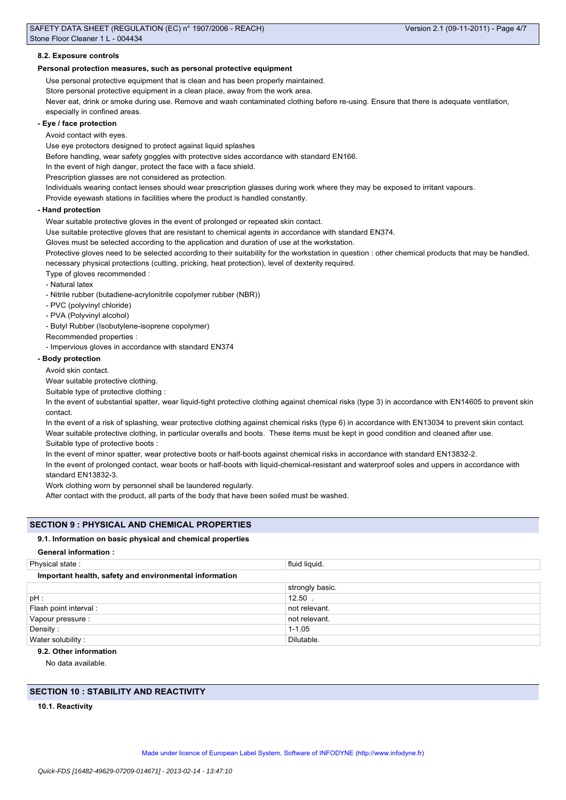#### **8.2. Exposure controls**

## **Personal protection measures, such as personal protective equipment**

Use personal protective equipment that is clean and has been properly maintained.

Store personal protective equipment in a clean place, away from the work area.

Never eat, drink or smoke during use. Remove and wash contaminated clothing before re-using. Ensure that there is adequate ventilation, especially in confined areas.

## **- Eye / face protection**

Avoid contact with eyes.

Use eye protectors designed to protect against liquid splashes

Before handling, wear safety goggles with protective sides accordance with standard EN166.

In the event of high danger, protect the face with a face shield.

Prescription glasses are not considered as protection.

Individuals wearing contact lenses should wear prescription glasses during work where they may be exposed to irritant vapours.

Provide eyewash stations in facilities where the product is handled constantly.

#### **- Hand protection**

Wear suitable protective gloves in the event of prolonged or repeated skin contact.

Use suitable protective gloves that are resistant to chemical agents in accordance with standard EN374.

Gloves must be selected according to the application and duration of use at the workstation.

Protective gloves need to be selected according to their suitability for the workstation in question : other chemical products that may be handled, necessary physical protections (cutting, pricking, heat protection), level of dexterity required.

- Type of gloves recommended :
- Natural latex
- Nitrile rubber (butadiene-acrylonitrile copolymer rubber (NBR))
- PVC (polyvinyl chloride)
- PVA (Polyvinyl alcohol)
- Butyl Rubber (Isobutylene-isoprene copolymer)
- Recommended properties :

- Impervious gloves in accordance with standard EN374

#### **- Body protection**

Avoid skin contact.

Wear suitable protective clothing.

Suitable type of protective clothing :

In the event of substantial spatter, wear liquid-tight protective clothing against chemical risks (type 3) in accordance with EN14605 to prevent skin contact.

In the event of a risk of splashing, wear protective clothing against chemical risks (type 6) in accordance with EN13034 to prevent skin contact. Wear suitable protective clothing, in particular overalls and boots. These items must be kept in good condition and cleaned after use. Suitable type of protective boots :

In the event of minor spatter, wear protective boots or half-boots against chemical risks in accordance with standard EN13832-2.

In the event of prolonged contact, wear boots or half-boots with liquid-chemical-resistant and waterproof soles and uppers in accordance with standard EN13832-3.

Work clothing worn by personnel shall be laundered regularly.

After contact with the product, all parts of the body that have been soiled must be washed.

# **SECTION 9 : PHYSICAL AND CHEMICAL PROPERTIES**

## **9.1. Information on basic physical and chemical properties**

## **General information :**

| Physical state:                                        | fluid liquid.   |  |  |  |  |
|--------------------------------------------------------|-----------------|--|--|--|--|
| Important health, safety and environmental information |                 |  |  |  |  |
|                                                        | strongly basic. |  |  |  |  |
| pH :                                                   | $12.50$ .       |  |  |  |  |
| Flash point interval :                                 | not relevant.   |  |  |  |  |
| Vapour pressure :                                      | not relevant.   |  |  |  |  |
| Density:                                               | $1 - 1.05$      |  |  |  |  |
| Water solubility:                                      | Dilutable.      |  |  |  |  |

# **9.2. Other information**

No data available.

# **SECTION 10 : STABILITY AND REACTIVITY**

**10.1. Reactivity**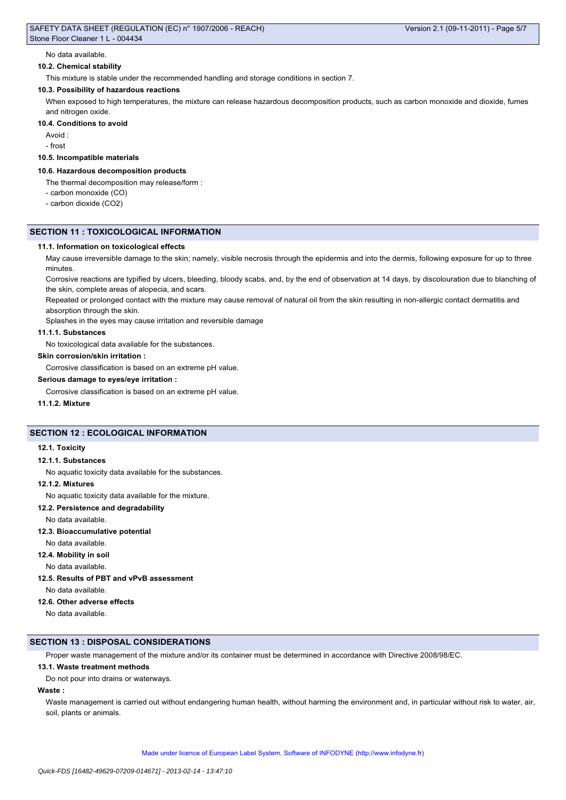#### No data available.

## **10.2. Chemical stability**

This mixture is stable under the recommended handling and storage conditions in section 7.

### **10.3. Possibility of hazardous reactions**

When exposed to high temperatures, the mixture can release hazardous decomposition products, such as carbon monoxide and dioxide, fumes and nitrogen oxide.

## **10.4. Conditions to avoid**

Avoid :

- frost

# **10.5. Incompatible materials**

#### **10.6. Hazardous decomposition products**

The thermal decomposition may release/form :

- carbon monoxide (CO)
- carbon dioxide (CO2)

#### **SECTION 11 : TOXICOLOGICAL INFORMATION**

#### **11.1. Information on toxicological effects**

May cause irreversible damage to the skin; namely, visible necrosis through the epidermis and into the dermis, following exposure for up to three minutes.

Corrosive reactions are typified by ulcers, bleeding, bloody scabs, and, by the end of observation at 14 days, by discolouration due to blanching of the skin, complete areas of alopecia, and scars.

Repeated or prolonged contact with the mixture may cause removal of natural oil from the skin resulting in non-allergic contact dermatitis and absorption through the skin.

Splashes in the eyes may cause irritation and reversible damage

#### **11.1.1. Substances**

No toxicological data available for the substances.

#### **Skin corrosion/skin irritation :**

Corrosive classification is based on an extreme pH value.

#### **Serious damage to eyes/eye irritation :**

Corrosive classification is based on an extreme pH value.

**11.1.2. Mixture**

# **SECTION 12 : ECOLOGICAL INFORMATION**

#### **12.1. Toxicity**

#### **12.1.1. Substances**

No aquatic toxicity data available for the substances.

#### **12.1.2. Mixtures**

No aquatic toxicity data available for the mixture.

# **12.2. Persistence and degradability**

No data available.

**12.3. Bioaccumulative potential**

No data available.

# **12.4. Mobility in soil**

No data available.

# **12.5. Results of PBT and vPvB assessment**

No data available.

# **12.6. Other adverse effects**

No data available.

## **SECTION 13 : DISPOSAL CONSIDERATIONS**

Proper waste management of the mixture and/or its container must be determined in accordance with Directive 2008/98/EC.

## **13.1. Waste treatment methods**

Do not pour into drains or waterways.

# **Waste :**

Waste management is carried out without endangering human health, without harming the environment and, in particular without risk to water, air, soil, plants or animals.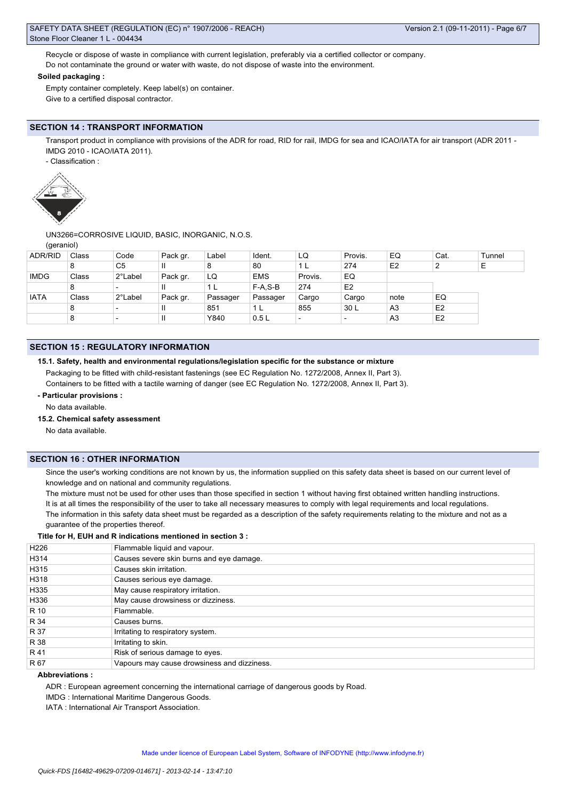# SAFETY DATA SHEET (REGULATION (EC) n° 1907/2006 - REACH) Stone Floor Cleaner 1 L - 004434

Recycle or dispose of waste in compliance with current legislation, preferably via a certified collector or company. Do not contaminate the ground or water with waste, do not dispose of waste into the environment.

# **Soiled packaging :**

Empty container completely. Keep label(s) on container. Give to a certified disposal contractor.

# **SECTION 14 : TRANSPORT INFORMATION**

Transport product in compliance with provisions of the ADR for road, RID for rail, IMDG for sea and ICAO/IATA for air transport (ADR 2011 -IMDG 2010 - ICAO/IATA 2011).

- Classification :



UN3266=CORROSIVE LIQUID, BASIC, INORGANIC, N.O.S.

(geraniol)

| <b>ADR/RID</b> | Class | Code                     | Pack gr. | Label    | Ident.     | LQ                       | Provis.        | EQ             | Cat.           | Tunnel |
|----------------|-------|--------------------------|----------|----------|------------|--------------------------|----------------|----------------|----------------|--------|
|                | 8     | C <sub>5</sub>           | Ш        | 8        | 80         |                          | 274            | E <sub>2</sub> | ∼              | Ε      |
| <b>IMDG</b>    | Class | 2°Label                  | Pack gr. | LQ       | <b>EMS</b> | Provis.                  | EQ             |                |                |        |
|                | 8     |                          | Ш        |          | F-A.S-B    | 274                      | E <sub>2</sub> |                |                |        |
| <b>IATA</b>    | Class | 2°Label                  | Pack gr. | Passager | Passager   | Cargo                    | Cargo          | note           | EQ             |        |
|                | 8     | $\overline{\phantom{0}}$ | Ш        | 851      | 1 L        | 855                      | 30 L           | A <sub>3</sub> | E <sub>2</sub> |        |
|                | 8     | $\overline{\phantom{0}}$ |          | Y840     | 0.5L       | $\overline{\phantom{0}}$ |                | A <sub>3</sub> | E <sub>2</sub> |        |
|                |       |                          |          |          |            |                          |                |                |                |        |

# **SECTION 15 : REGULATORY INFORMATION**

#### **15.1. Safety, health and environmental regulations/legislation specific for the substance or mixture**

Packaging to be fitted with child-resistant fastenings (see EC Regulation No. 1272/2008, Annex II, Part 3). Containers to be fitted with a tactile warning of danger (see EC Regulation No. 1272/2008, Annex II, Part 3).

#### **- Particular provisions :**

No data available.

#### **15.2. Chemical safety assessment**

No data available.

# **SECTION 16 : OTHER INFORMATION**

Since the user's working conditions are not known by us, the information supplied on this safety data sheet is based on our current level of knowledge and on national and community regulations.

The mixture must not be used for other uses than those specified in section 1 without having first obtained written handling instructions. It is at all times the responsibility of the user to take all necessary measures to comply with legal requirements and local regulations. The information in this safety data sheet must be regarded as a description of the safety requirements relating to the mixture and not as a guarantee of the properties thereof.

## **Title for H, EUH and R indications mentioned in section 3 :**

| Flammable liquid and vapour.                |
|---------------------------------------------|
| Causes severe skin burns and eye damage.    |
| Causes skin irritation.                     |
| Causes serious eye damage.                  |
| May cause respiratory irritation.           |
| May cause drowsiness or dizziness.          |
| Flammable.                                  |
| Causes burns.                               |
| Irritating to respiratory system.           |
| Irritating to skin.                         |
| Risk of serious damage to eyes.             |
| Vapours may cause drowsiness and dizziness. |
|                                             |

# **Abbreviations :**

ADR : European agreement concerning the international carriage of dangerous goods by Road.

IMDG : International Maritime Dangerous Goods.

IATA : International Air Transport Association.